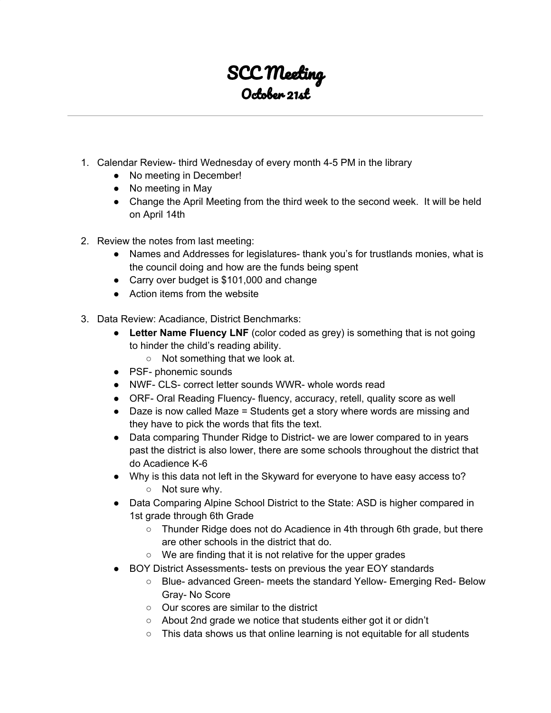## SCC Meeting October 21st

- 1. Calendar Review- third Wednesday of every month 4-5 PM in the library
	- No meeting in December!
	- No meeting in May
	- Change the April Meeting from the third week to the second week. It will be held on April 14th
- 2. Review the notes from last meeting:
	- Names and Addresses for legislatures- thank you's for trustlands monies, what is the council doing and how are the funds being spent
	- Carry over budget is \$101,000 and change
	- Action items from the website
- 3. Data Review: Acadiance, District Benchmarks:
	- **Letter Name Fluency LNF** (color coded as grey) is something that is not going to hinder the child's reading ability.
		- Not something that we look at.
	- PSF- phonemic sounds
	- NWF- CLS- correct letter sounds WWR- whole words read
	- ORF- Oral Reading Fluency- fluency, accuracy, retell, quality score as well
	- Daze is now called Maze = Students get a story where words are missing and they have to pick the words that fits the text.
	- Data comparing Thunder Ridge to District- we are lower compared to in years past the district is also lower, there are some schools throughout the district that do Acadience K-6
	- Why is this data not left in the Skyward for everyone to have easy access to? ○ Not sure why.
	- Data Comparing Alpine School District to the State: ASD is higher compared in 1st grade through 6th Grade
		- Thunder Ridge does not do Acadience in 4th through 6th grade, but there are other schools in the district that do.
		- We are finding that it is not relative for the upper grades
	- BOY District Assessments- tests on previous the year EOY standards
		- Blue- advanced Green- meets the standard Yellow- Emerging Red- Below Gray- No Score
		- Our scores are similar to the district
		- About 2nd grade we notice that students either got it or didn't
		- This data shows us that online learning is not equitable for all students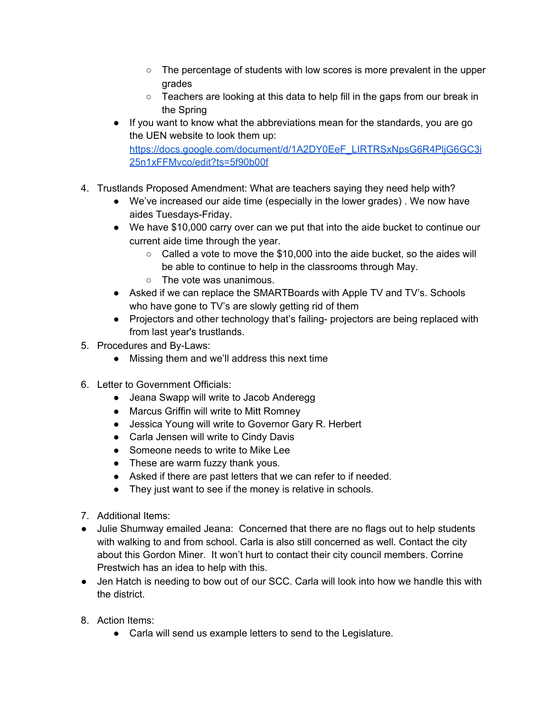- $\circ$  The percentage of students with low scores is more prevalent in the upper grades
- Teachers are looking at this data to help fill in the gaps from our break in the Spring
- If you want to know what the abbreviations mean for the standards, you are go the UEN website to look them up: [https://docs.google.com/document/d/1A2DY0EeF\\_LIRTRSxNpsG6R4PljG6GC3i](https://docs.google.com/document/d/1A2DY0EeF_LIRTRSxNpsG6R4PljG6GC3i25n1xFFMvco/edit?ts=5f90b00f) [25n1xFFMvco/edit?ts=5f90b00f](https://docs.google.com/document/d/1A2DY0EeF_LIRTRSxNpsG6R4PljG6GC3i25n1xFFMvco/edit?ts=5f90b00f)
- 4. Trustlands Proposed Amendment: What are teachers saying they need help with?
	- We've increased our aide time (especially in the lower grades) . We now have aides Tuesdays-Friday.
	- We have \$10,000 carry over can we put that into the aide bucket to continue our current aide time through the year.
		- $\circ$  Called a vote to move the \$10,000 into the aide bucket, so the aides will be able to continue to help in the classrooms through May.
		- The vote was unanimous.
	- Asked if we can replace the SMARTBoards with Apple TV and TV's. Schools who have gone to TV's are slowly getting rid of them
	- Projectors and other technology that's failing- projectors are being replaced with from last year's trustlands.
- 5. Procedures and By-Laws:
	- Missing them and we'll address this next time
- 6. Letter to Government Officials:
	- Jeana Swapp will write to Jacob Anderegg
	- Marcus Griffin will write to Mitt Romney
	- Jessica Young will write to Governor Gary R. Herbert
	- Carla Jensen will write to Cindy Davis
	- Someone needs to write to Mike Lee
	- These are warm fuzzy thank yous.
	- Asked if there are past letters that we can refer to if needed.
	- They just want to see if the money is relative in schools.
- 7. Additional Items:
- Julie Shumway emailed Jeana: Concerned that there are no flags out to help students with walking to and from school. Carla is also still concerned as well. Contact the city about this Gordon Miner. It won't hurt to contact their city council members. Corrine Prestwich has an idea to help with this.
- Jen Hatch is needing to bow out of our SCC. Carla will look into how we handle this with the district.
- 8. Action Items:
	- Carla will send us example letters to send to the Legislature.